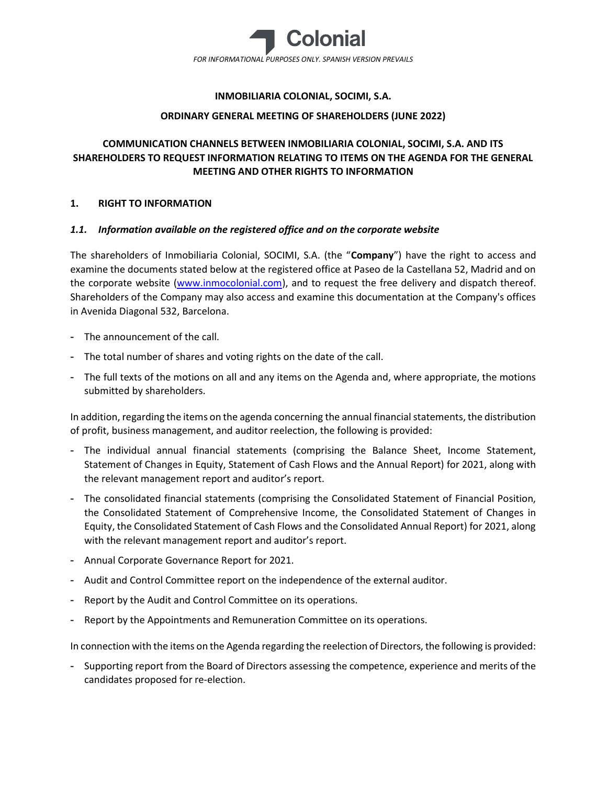

## INMOBILIARIA COLONIAL, SOCIMI, S.A.

## ORDINARY GENERAL MEETING OF SHAREHOLDERS (JUNE 2022)

# COMMUNICATION CHANNELS BETWEEN INMOBILIARIA COLONIAL, SOCIMI, S.A. AND ITS SHAREHOLDERS TO REQUEST INFORMATION RELATING TO ITEMS ON THE AGENDA FOR THE GENERAL MEETING AND OTHER RIGHTS TO INFORMATION

## 1. RIGHT TO INFORMATION

## 1.1. Information available on the registered office and on the corporate website

The shareholders of Inmobiliaria Colonial, SOCIMI, S.A. (the "Company") have the right to access and examine the documents stated below at the registered office at Paseo de la Castellana 52, Madrid and on the corporate website (www.inmocolonial.com), and to request the free delivery and dispatch thereof. Shareholders of the Company may also access and examine this documentation at the Company's offices in Avenida Diagonal 532, Barcelona.

- The announcement of the call.
- The total number of shares and voting rights on the date of the call.
- The full texts of the motions on all and any items on the Agenda and, where appropriate, the motions submitted by shareholders.

In addition, regarding the items on the agenda concerning the annual financial statements, the distribution of profit, business management, and auditor reelection, the following is provided:

- The individual annual financial statements (comprising the Balance Sheet, Income Statement, Statement of Changes in Equity, Statement of Cash Flows and the Annual Report) for 2021, along with the relevant management report and auditor's report.
- The consolidated financial statements (comprising the Consolidated Statement of Financial Position, the Consolidated Statement of Comprehensive Income, the Consolidated Statement of Changes in Equity, the Consolidated Statement of Cash Flows and the Consolidated Annual Report) for 2021, along with the relevant management report and auditor's report.
- Annual Corporate Governance Report for 2021.
- Audit and Control Committee report on the independence of the external auditor.
- Report by the Audit and Control Committee on its operations.
- Report by the Appointments and Remuneration Committee on its operations.

In connection with the items on the Agenda regarding the reelection of Directors, the following is provided:

- Supporting report from the Board of Directors assessing the competence, experience and merits of the candidates proposed for re-election.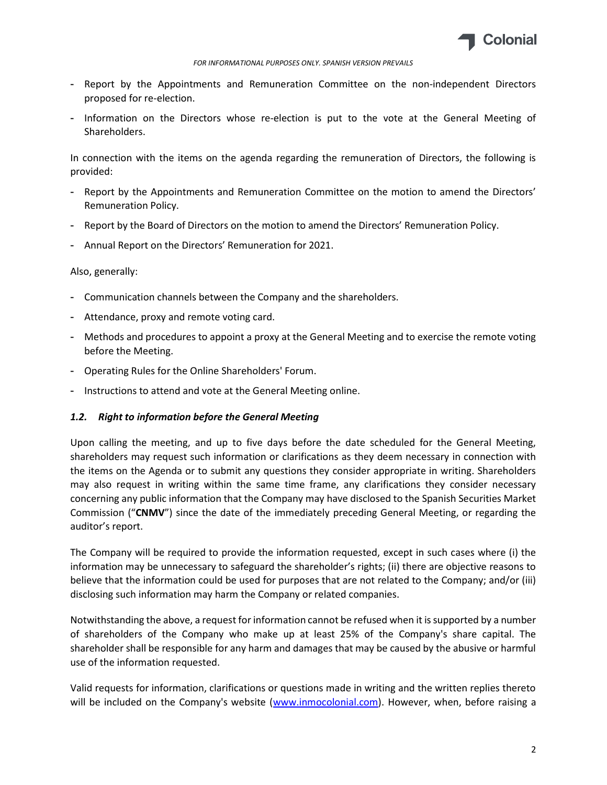

#### FOR INFORMATIONAL PURPOSES ONLY. SPANISH VERSION PREVAILS

- Report by the Appointments and Remuneration Committee on the non-independent Directors proposed for re-election.
- Information on the Directors whose re-election is put to the vote at the General Meeting of Shareholders.

In connection with the items on the agenda regarding the remuneration of Directors, the following is provided:

- Report by the Appointments and Remuneration Committee on the motion to amend the Directors' Remuneration Policy.
- Report by the Board of Directors on the motion to amend the Directors' Remuneration Policy.
- Annual Report on the Directors' Remuneration for 2021.

### Also, generally:

- Communication channels between the Company and the shareholders.
- Attendance, proxy and remote voting card.
- Methods and procedures to appoint a proxy at the General Meeting and to exercise the remote voting before the Meeting.
- Operating Rules for the Online Shareholders' Forum.
- Instructions to attend and vote at the General Meeting online.

### 1.2. Right to information before the General Meeting

Upon calling the meeting, and up to five days before the date scheduled for the General Meeting, shareholders may request such information or clarifications as they deem necessary in connection with the items on the Agenda or to submit any questions they consider appropriate in writing. Shareholders may also request in writing within the same time frame, any clarifications they consider necessary concerning any public information that the Company may have disclosed to the Spanish Securities Market Commission ("CNMV") since the date of the immediately preceding General Meeting, or regarding the auditor's report.

The Company will be required to provide the information requested, except in such cases where (i) the information may be unnecessary to safeguard the shareholder's rights; (ii) there are objective reasons to believe that the information could be used for purposes that are not related to the Company; and/or (iii) disclosing such information may harm the Company or related companies.

Notwithstanding the above, a request for information cannot be refused when it is supported by a number of shareholders of the Company who make up at least 25% of the Company's share capital. The shareholder shall be responsible for any harm and damages that may be caused by the abusive or harmful use of the information requested.

Valid requests for information, clarifications or questions made in writing and the written replies thereto will be included on the Company's website (www.inmocolonial.com). However, when, before raising a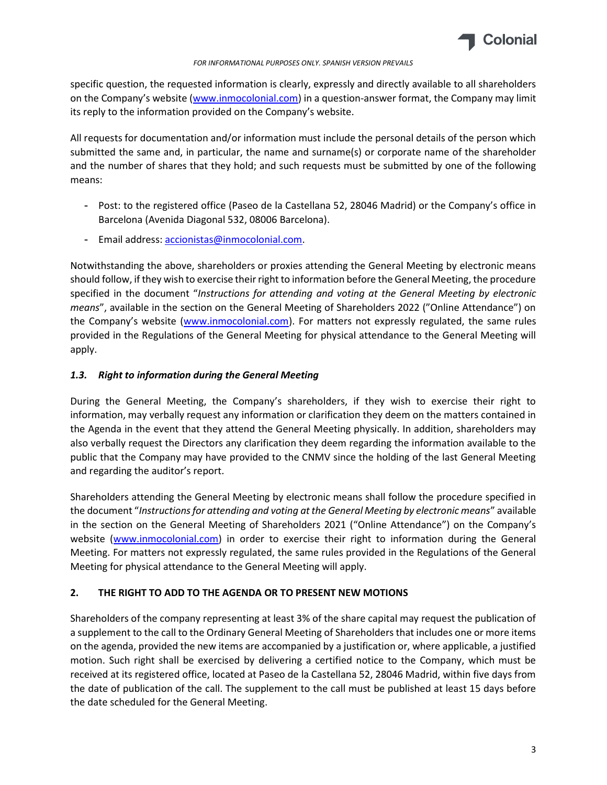

#### FOR INFORMATIONAL PURPOSES ONLY. SPANISH VERSION PREVAILS

specific question, the requested information is clearly, expressly and directly available to all shareholders on the Company's website (www.inmocolonial.com) in a question-answer format, the Company may limit its reply to the information provided on the Company's website.

All requests for documentation and/or information must include the personal details of the person which submitted the same and, in particular, the name and surname(s) or corporate name of the shareholder and the number of shares that they hold; and such requests must be submitted by one of the following means:

- Post: to the registered office (Paseo de la Castellana 52, 28046 Madrid) or the Company's office in Barcelona (Avenida Diagonal 532, 08006 Barcelona).
- Email address: accionistas@inmocolonial.com.

Notwithstanding the above, shareholders or proxies attending the General Meeting by electronic means should follow, if they wish to exercise their right to information before the General Meeting, the procedure specified in the document "Instructions for attending and voting at the General Meeting by electronic means", available in the section on the General Meeting of Shareholders 2022 ("Online Attendance") on the Company's website (www.inmocolonial.com). For matters not expressly regulated, the same rules provided in the Regulations of the General Meeting for physical attendance to the General Meeting will apply.

# 1.3. Right to information during the General Meeting

During the General Meeting, the Company's shareholders, if they wish to exercise their right to information, may verbally request any information or clarification they deem on the matters contained in the Agenda in the event that they attend the General Meeting physically. In addition, shareholders may also verbally request the Directors any clarification they deem regarding the information available to the public that the Company may have provided to the CNMV since the holding of the last General Meeting and regarding the auditor's report.

Shareholders attending the General Meeting by electronic means shall follow the procedure specified in the document "Instructions for attending and voting at the General Meeting by electronic means" available in the section on the General Meeting of Shareholders 2021 ("Online Attendance") on the Company's website (www.inmocolonial.com) in order to exercise their right to information during the General Meeting. For matters not expressly regulated, the same rules provided in the Regulations of the General Meeting for physical attendance to the General Meeting will apply.

# 2. THE RIGHT TO ADD TO THE AGENDA OR TO PRESENT NEW MOTIONS

Shareholders of the company representing at least 3% of the share capital may request the publication of a supplement to the call to the Ordinary General Meeting of Shareholders that includes one or more items on the agenda, provided the new items are accompanied by a justification or, where applicable, a justified motion. Such right shall be exercised by delivering a certified notice to the Company, which must be received at its registered office, located at Paseo de la Castellana 52, 28046 Madrid, within five days from the date of publication of the call. The supplement to the call must be published at least 15 days before the date scheduled for the General Meeting.